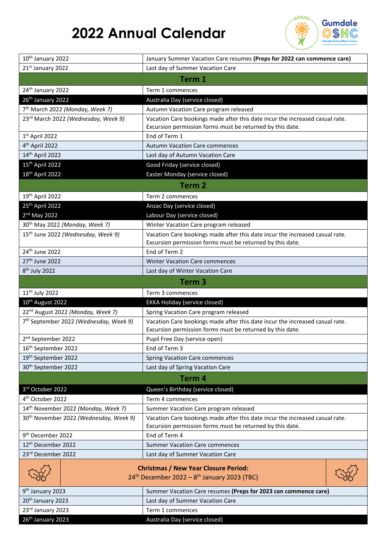## **2022 Annual Calendar**



| 10th January 2022                                  | January Summer Vacation Care resumes (Preps for 2022 can commence care)                                                                   |  |  |  |
|----------------------------------------------------|-------------------------------------------------------------------------------------------------------------------------------------------|--|--|--|
| 21st January 2022                                  | Last day of Summer Vacation Care                                                                                                          |  |  |  |
| Term 1                                             |                                                                                                                                           |  |  |  |
| 24th January 2022                                  | Term 1 commences                                                                                                                          |  |  |  |
| 26th January 2022                                  | Australia Day (service closed)                                                                                                            |  |  |  |
| 7 <sup>th</sup> March 2022 (Monday, Week 7)        | Autumn Vacation Care program released                                                                                                     |  |  |  |
| 23rd March 2022 (Wednesday, Week 9)                | Vacation Care bookings made after this date incur the increased casual rate.<br>Excursion permission forms must be returned by this date. |  |  |  |
| 1st April 2022                                     | End of Term 1                                                                                                                             |  |  |  |
| 4 <sup>th</sup> April 2022                         | <b>Autumn Vacation Care commences</b>                                                                                                     |  |  |  |
| 14 <sup>th</sup> April 2022                        | Last day of Autumn Vacation Care                                                                                                          |  |  |  |
| 15 <sup>th</sup> April 2022                        | Good Friday (service closed)                                                                                                              |  |  |  |
| 18 <sup>th</sup> April 2022                        | Easter Monday (service closed)                                                                                                            |  |  |  |
| Term <sub>2</sub>                                  |                                                                                                                                           |  |  |  |
| 19 <sup>th</sup> April 2022                        | Term 2 commences                                                                                                                          |  |  |  |
| 25 <sup>th</sup> April 2022                        | Anzac Day (service closed)                                                                                                                |  |  |  |
| 2 <sup>nd</sup> May 2022                           | Labour Day (service closed)                                                                                                               |  |  |  |
| 30 <sup>th</sup> May 2022 (Monday, Week 7)         | Winter Vacation Care program released                                                                                                     |  |  |  |
| 15 <sup>th</sup> June 2022 (Wednesday, Week 9)     | Vacation Care bookings made after this date incur the increased casual rate.<br>Excursion permission forms must be returned by this date. |  |  |  |
| 24th June 2022                                     | End of Term 2                                                                                                                             |  |  |  |
| 27 <sup>th</sup> June 2022                         | <b>Winter Vacation Care commences</b>                                                                                                     |  |  |  |
| 8 <sup>th</sup> July 2022                          | Last day of Winter Vacation Care                                                                                                          |  |  |  |
| Term <sub>3</sub>                                  |                                                                                                                                           |  |  |  |
|                                                    |                                                                                                                                           |  |  |  |
| 11 <sup>th</sup> July 2022                         | Term 3 commences                                                                                                                          |  |  |  |
| 10 <sup>th</sup> August 2022                       | <b>EKKA Holiday (service closed)</b>                                                                                                      |  |  |  |
| 22 <sup>nd</sup> August 2022 (Monday, Week 7)      | Spring Vacation Care program released                                                                                                     |  |  |  |
| 7 <sup>th</sup> September 2022 (Wednesday, Week 9) | Vacation Care bookings made after this date incur the increased casual rate.<br>Excursion permission forms must be returned by this date. |  |  |  |
| 2 <sup>nd</sup> September 2022                     | Pupil Free Day (service open)                                                                                                             |  |  |  |
| 16 <sup>th</sup> September 2022                    | End of Term 3                                                                                                                             |  |  |  |
| 19th September 2022                                | <b>Spring Vacation Care commences</b>                                                                                                     |  |  |  |
| 30 <sup>th</sup> September 2022                    | Last day of Spring Vacation Care                                                                                                          |  |  |  |
|                                                    | Term 4                                                                                                                                    |  |  |  |
| 3rd October 2022                                   | Queen's Birthday (service closed)                                                                                                         |  |  |  |
| 4 <sup>th</sup> October 2022                       | Term 4 commences                                                                                                                          |  |  |  |
| 14th November 2022 (Monday, Week 7)                | Summer Vacation Care program released                                                                                                     |  |  |  |
| 30 <sup>th</sup> November 2022 (Wednesday, Week 9) | Vacation Care bookings made after this date incur the increased casual rate.<br>Excursion permission forms must be returned by this date. |  |  |  |
| 9 <sup>th</sup> December 2022                      | End of Term 4                                                                                                                             |  |  |  |
| 12 <sup>th</sup> December 2022                     | <b>Summer Vacation Care commences</b>                                                                                                     |  |  |  |
| 23rd December 2022                                 | Last day of Summer Vacation Care                                                                                                          |  |  |  |
|                                                    | <b>Christmas / New Year Closure Period:</b><br>$24^{th}$ December 2022 – 8 <sup>th</sup> January 2023 (TBC)                               |  |  |  |
| 9 <sup>th</sup> January 2023                       | Summer Vacation Care resumes (Preps for 2023 can commence care)                                                                           |  |  |  |
| 20th January 2023                                  | Last day of Summer Vacation Care                                                                                                          |  |  |  |
| 23rd January 2023                                  | Term 1 commences                                                                                                                          |  |  |  |